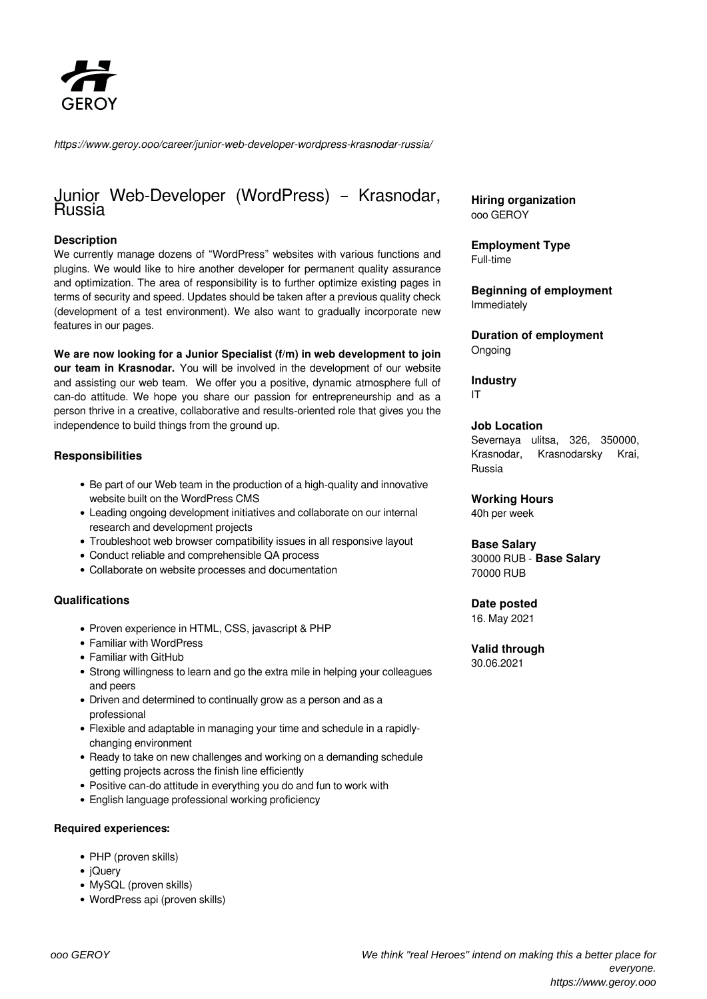

*https://www.geroy.ooo/career/junior-web-developer-wordpress-krasnodar-russia/*

# Junior Web-Developer (WordPress) – Krasnodar, Russia

#### **Description**

We currently manage dozens of "WordPress" websites with various functions and plugins. We would like to hire another developer for permanent quality assurance and optimization. The area of responsibility is to further optimize existing pages in terms of security and speed. Updates should be taken after a previous quality check (development of a test environment). We also want to gradually incorporate new features in our pages.

**We are now looking for a Junior Specialist (f/m) in web development to join our team in Krasnodar.** You will be involved in the development of our website and assisting our web team. We offer you a positive, dynamic atmosphere full of can-do attitude. We hope you share our passion for entrepreneurship and as a person thrive in a creative, collaborative and results-oriented role that gives you the independence to build things from the ground up.

#### **Responsibilities**

- Be part of our Web team in the production of a high-quality and innovative website built on the WordPress CMS
- Leading ongoing development initiatives and collaborate on our internal research and development projects
- Troubleshoot web browser compatibility issues in all responsive layout
- Conduct reliable and comprehensible QA process
- Collaborate on website processes and documentation

#### **Qualifications**

- Proven experience in HTML, CSS, javascript & PHP
- Familiar with WordPress
- Familiar with GitHub
- Strong willingness to learn and go the extra mile in helping your colleagues and peers
- Driven and determined to continually grow as a person and as a professional
- Flexible and adaptable in managing your time and schedule in a rapidlychanging environment
- Ready to take on new challenges and working on a demanding schedule getting projects across the finish line efficiently
- Positive can-do attitude in everything you do and fun to work with
- English language professional working proficiency

#### **Required experiences:**

- PHP (proven skills)
- iQuerv
- MySQL (proven skills)
- WordPress api (proven skills)

**Hiring organization** ooo GEROY

**Employment Type** Full-time

**Beginning of employment** Immediately

**Duration of employment** Ongoing

**Industry** IT

#### **Job Location**

Severnaya ulitsa, 326, 350000, Krasnodar, Krasnodarsky Krai, Russia

**Working Hours** 40h per week

## **Base Salary**

30000 RUB - **Base Salary** 70000 RUB

#### **Date posted**

16. May 2021

## **Valid through**

30.06.2021